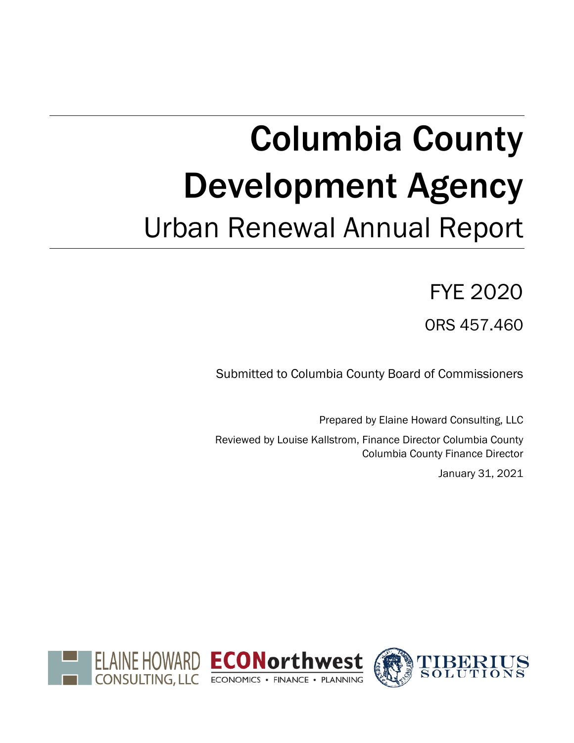# Columbia County Development Agency Urban Renewal Annual Report

# FYE 2020

ORS 457.460

Submitted to Columbia County Board of Commissioners

Prepared by Elaine Howard Consulting, LLC Reviewed by Louise Kallstrom, Finance Director Columbia County Columbia County Finance Director January 31, 2021

ELAINE HOWARD ECONorthwest CONSULTING, LLC ECONOMICS . FINANCE . PLANNING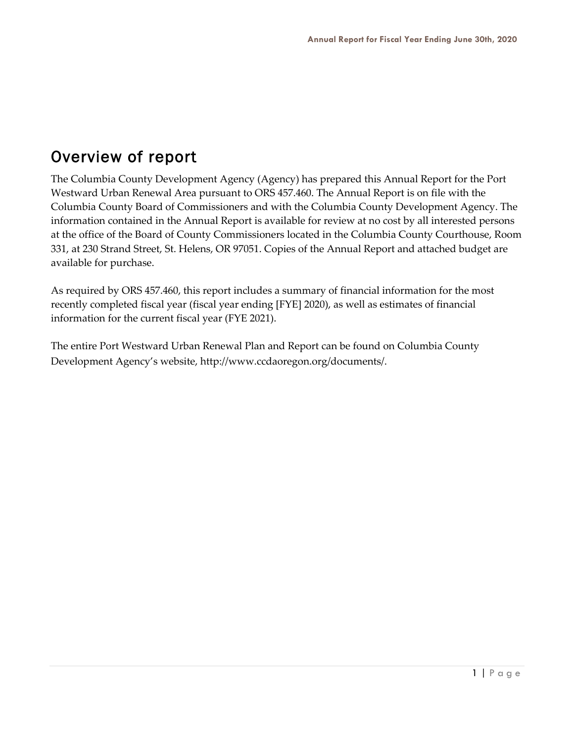## Overview of report

The Columbia County Development Agency (Agency) has prepared this Annual Report for the Port Westward Urban Renewal Area pursuant to ORS 457.460. The Annual Report is on file with the Columbia County Board of Commissioners and with the Columbia County Development Agency. The information contained in the Annual Report is available for review at no cost by all interested persons at the office of the Board of County Commissioners located in the Columbia County Courthouse, Room 331, at 230 Strand Street, St. Helens, OR 97051. Copies of the Annual Report and attached budget are available for purchase.

As required by ORS 457.460, this report includes a summary of financial information for the most recently completed fiscal year (fiscal year ending [FYE] 2020), as well as estimates of financial information for the current fiscal year (FYE 2021).

The entire Port Westward Urban Renewal Plan and Report can be found on Columbia County Development Agency's website, http://www.ccdaoregon.org/documents/.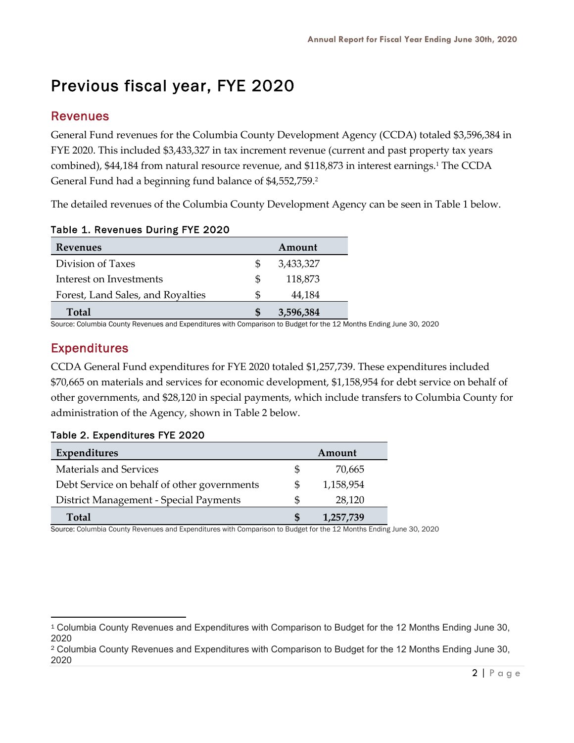# Previous fiscal year, FYE 2020

## Revenues

General Fund revenues for the Columbia County Development Agency (CCDA) totaled \$3,596,384 in FYE 2020. This included \$3,433,327 in tax increment revenue (current and past property tax years combined), \$44,184 from natural resource revenue, and \$118,873 in interest earnings.<sup>1</sup> The CCDA General Fund had a beginning fund balance of \$4,552,759. 2

The detailed revenues of the Columbia County Development Agency can be seen in Table 1 below.

| <b>Revenues</b>                   |     | Amount    |
|-----------------------------------|-----|-----------|
| Division of Taxes                 |     | 3,433,327 |
| Interest on Investments           | \$. | 118,873   |
| Forest, Land Sales, and Royalties |     | 44,184    |
| <b>Total</b>                      | S   | 3,596,384 |

#### Table 1. Revenues During FYE 2020

Source: Columbia County Revenues and Expenditures with Comparison to Budget for the 12 Months Ending June 30, 2020

## Expenditures

CCDA General Fund expenditures for FYE 2020 totaled \$1,257,739. These expenditures included \$70,665 on materials and services for economic development, \$1,158,954 for debt service on behalf of other governments, and \$28,120 in special payments, which include transfers to Columbia County for administration of the Agency, shown in Table 2 below.

#### Table 2. Expenditures FYE 2020

| Expenditures                                |    | Amount    |
|---------------------------------------------|----|-----------|
| <b>Materials and Services</b>               | \$ | 70,665    |
| Debt Service on behalf of other governments | \$ | 1,158,954 |
| District Management - Special Payments      | S  | 28,120    |
| Total                                       |    | 1,257,739 |

Source: Columbia County Revenues and Expenditures with Comparison to Budget for the 12 Months Ending June 30, 2020

<sup>1</sup> Columbia County Revenues and Expenditures with Comparison to Budget for the 12 Months Ending June 30, 2020

<sup>2</sup> Columbia County Revenues and Expenditures with Comparison to Budget for the 12 Months Ending June 30, 2020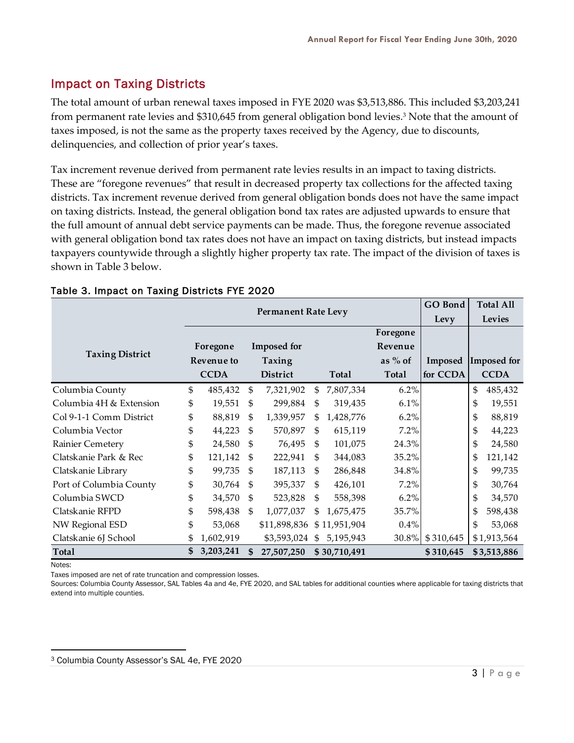## Impact on Taxing Districts

The total amount of urban renewal taxes imposed in FYE 2020 was \$3,513,886. This included \$3,203,241 from permanent rate levies and \$310,645 from general obligation bond levies.3 Note that the amount of taxes imposed, is not the same as the property taxes received by the Agency, due to discounts, delinquencies, and collection of prior year's taxes.

Tax increment revenue derived from permanent rate levies results in an impact to taxing districts. These are "foregone revenues" that result in decreased property tax collections for the affected taxing districts. Tax increment revenue derived from general obligation bonds does not have the same impact on taxing districts. Instead, the general obligation bond tax rates are adjusted upwards to ensure that the full amount of annual debt service payments can be made. Thus, the foregone revenue associated with general obligation bond tax rates does not have an impact on taxing districts, but instead impacts taxpayers countywide through a slightly higher property tax rate. The impact of the division of taxes is shown in Table 3 below.

|                         |            |                            |               |                    |           |              |              | <b>GO Bond</b> | <b>Total All</b> |             |
|-------------------------|------------|----------------------------|---------------|--------------------|-----------|--------------|--------------|----------------|------------------|-------------|
|                         |            | <b>Permanent Rate Levy</b> |               |                    |           |              | Levy         | Levies         |                  |             |
|                         |            |                            |               |                    |           |              | Foregone     |                |                  |             |
|                         |            | Foregone                   |               | <b>Imposed</b> for |           |              | Revenue      |                |                  |             |
| <b>Taxing District</b>  | Revenue to |                            | <b>Taxing</b> |                    | as $%$ of |              | Imposed      |                | Imposed for      |             |
|                         |            | <b>CCDA</b>                |               | District           |           | <b>Total</b> | <b>Total</b> | for CCDA       |                  | <b>CCDA</b> |
| Columbia County         | \$         | 485,432                    | \$            | 7,321,902          | \$        | 7,807,334    | 6.2%         |                | \$               | 485,432     |
| Columbia 4H & Extension | \$         | 19,551                     | \$            | 299,884            | \$        | 319,435      | 6.1%         |                | \$               | 19,551      |
| Col 9-1-1 Comm District | \$         | 88,819                     | \$            | 1,339,957          | \$        | 1,428,776    | 6.2%         |                | \$               | 88,819      |
| Columbia Vector         | \$         | 44,223                     | \$            | 570,897            | \$        | 615,119      | 7.2%         |                | \$               | 44,223      |
| Rainier Cemetery        | \$         | 24,580                     | \$            | 76,495             | \$        | 101,075      | 24.3%        |                | \$               | 24,580      |
| Clatskanie Park & Rec   | \$         | 121,142                    | \$            | 222,941            | \$        | 344,083      | 35.2%        |                | \$               | 121,142     |
| Clatskanie Library      | \$         | 99,735                     | \$            | 187,113            | \$        | 286,848      | 34.8%        |                | \$               | 99,735      |
| Port of Columbia County | \$         | 30,764                     | -\$           | 395,337            | \$        | 426,101      | 7.2%         |                | \$               | 30,764      |
| Columbia SWCD           | \$         | 34,570                     | \$            | 523,828            | \$        | 558,398      | 6.2%         |                | \$               | 34,570      |
| Clatskanie RFPD         | \$         | 598,438                    | \$            | 1,077,037          | \$        | 1,675,475    | 35.7%        |                |                  | 598,438     |
| NW Regional ESD         | \$         | 53,068                     |               | \$11,898,836       |           | \$11,951,904 | 0.4%         |                | \$               | 53,068      |
| Clatskanie 6J School    | \$         | 1,602,919                  |               | \$3,593,024        | \$        | 5,195,943    | 30.8%        | \$310,645      |                  | \$1,913,564 |
| <b>Total</b>            | \$         | 3,203,241                  | \$            | 27,507,250         |           | \$30,710,491 |              | \$310,645      |                  | \$3,513,886 |
| Notes:                  |            |                            |               |                    |           |              |              |                |                  |             |

#### Table 3. Impact on Taxing Districts FYE 2020

Taxes imposed are net of rate truncation and compression losses.

Sources: Columbia County Assessor, SAL Tables 4a and 4e, FYE 2020, and SAL tables for additional counties where applicable for taxing districts that extend into multiple counties.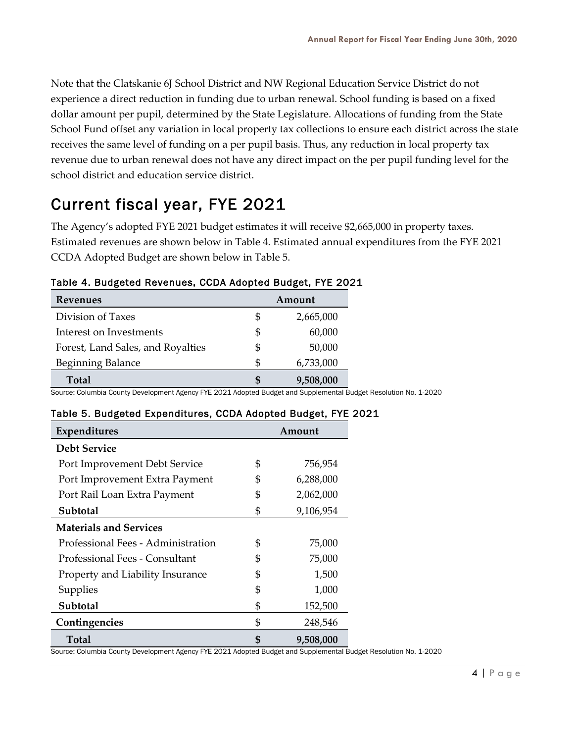Note that the Clatskanie 6J School District and NW Regional Education Service District do not experience a direct reduction in funding due to urban renewal. School funding is based on a fixed dollar amount per pupil, determined by the State Legislature. Allocations of funding from the State School Fund offset any variation in local property tax collections to ensure each district across the state receives the same level of funding on a per pupil basis. Thus, any reduction in local property tax revenue due to urban renewal does not have any direct impact on the per pupil funding level for the school district and education service district.

## Current fiscal year, FYE 2021

The Agency's adopted FYE 2021 budget estimates it will receive \$2,665,000 in property taxes. Estimated revenues are shown below in Table 4. Estimated annual expenditures from the FYE 2021 CCDA Adopted Budget are shown below in Table 5.

| <b>Revenues</b>                   | Amount |           |  |  |  |
|-----------------------------------|--------|-----------|--|--|--|
| Division of Taxes                 | \$     | 2,665,000 |  |  |  |
| Interest on Investments           | \$     | 60,000    |  |  |  |
| Forest, Land Sales, and Royalties | \$     | 50,000    |  |  |  |
| Beginning Balance                 | \$     | 6,733,000 |  |  |  |
| Total                             |        | 9,508,000 |  |  |  |

#### Table 4. Budgeted Revenues, CCDA Adopted Budget, FYE 2021

Source: Columbia County Development Agency FYE 2021 Adopted Budget and Supplemental Budget Resolution No. 1-2020

#### Table 5. Budgeted Expenditures, CCDA Adopted Budget, FYE 2021

| <b>Expenditures</b>                | Amount |           |  |  |
|------------------------------------|--------|-----------|--|--|
| <b>Debt Service</b>                |        |           |  |  |
| Port Improvement Debt Service      | \$     | 756,954   |  |  |
| Port Improvement Extra Payment     | \$     | 6,288,000 |  |  |
| Port Rail Loan Extra Payment       | \$     | 2,062,000 |  |  |
| Subtotal                           | \$     | 9,106,954 |  |  |
| <b>Materials and Services</b>      |        |           |  |  |
| Professional Fees - Administration | \$     | 75,000    |  |  |
| Professional Fees - Consultant     | \$     | 75,000    |  |  |
| Property and Liability Insurance   | \$     | 1,500     |  |  |
| Supplies                           | \$     | 1,000     |  |  |
| Subtotal                           | \$     | 152,500   |  |  |
| Contingencies                      | \$     | 248,546   |  |  |
| Total                              | \$     | 9,508,000 |  |  |

Source: Columbia County Development Agency FYE 2021 Adopted Budget and Supplemental Budget Resolution No. 1-2020